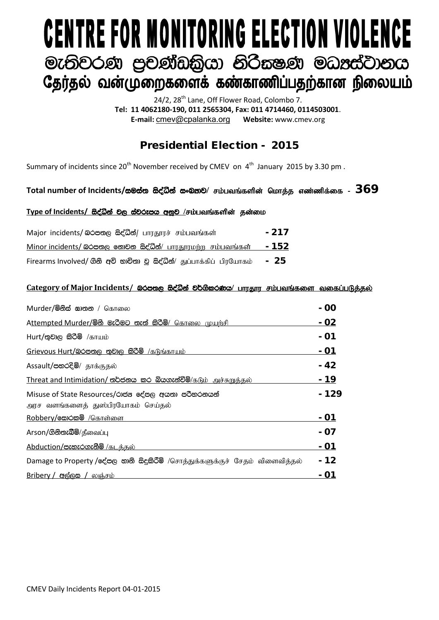# **CENTRE FOR MONITORING ELECTION VIOLENCE** මැතිවරණ පුචණ්ඩකියා නිරිකෂණ මධාප්ටානය தேர்தல் வன்முறைகளைக் கண்காணிப்பதற்கான நிலையம்

24/2, 28<sup>th</sup> Lane, Off Flower Road, Colombo 7. **Tel: 11 4062180-190, 011 2565304, Fax: 011 4714460, 0114503001**. **E-mail:** [cmev@cpalanka.org](mailto:cmev@cpalanka.org) **Website:** www.cmev.org

## Presidential Election - 2015

Summary of incidents since  $20^{th}$  November received by CMEV on  $4^{th}$  January 2015 by 3.30 pm.

### Total number of Incidents/සමස්ත සිද්ධීන් සංඛතව/ சம்பவங்களின் மொக்க எண்ணிக்கை -  $369$

#### Type of Incidents/ සිද්ධින් වල ස්වරූපය අනුව /சம்பவங்களின் தன்மை

| Major incidents/ லெக்ஸ்ரு க்ஜீலீதி/ பாரதூரச் சம்பவங்கள்               | $-217$ |
|-----------------------------------------------------------------------|--------|
| Minor incidents/ லெக்ஸ் கூற்கை க்ஜீல் பாரதூரமற்ற சம்பவங்கள்           | $-152$ |
| Firearms Involved/ ගිනි අවි භාවිතා වූ සිද්ධීන්/ துப்பாக்கிப் பிரயோகம் | - 25   |

#### Category of Major Incidents/ இ<del>රපතුල සිද්ධීන් වර්ගීකර</del>ණය/ பாரதார சம்பவங்களை வகைப்படுத்தல்

| Murder/මිනිස් සාතන / கொலை                                                                | $-00$         |
|------------------------------------------------------------------------------------------|---------------|
| Attempted Murder/මිහි මැරිමට තැත් කිරිමි/ கொலை முயற்சி                                   | <u>  - 02</u> |
| $Hurt/g$ වාල කිරීම් /காயம்                                                               | - 01          |
| Grievous Hurt/බරපතල තුවාල කිරීම් /கடுங்காயம்                                             | - 01          |
| Assault/පහරදීම්/ தாக்குதல்                                                               | - 42          |
| Threat and Intimidation/ තර්ජනය කර බියගැන්වීමි/கடும் அச்சுறுத்தல்                        | - 19          |
| Misuse of State Resources/රාජන දේපල අයතා පරිහරනයන්<br>அரச வளங்களைத் துஸ்பிரயோகம் செய்தல் | - 129         |
| Robbery/வேo்கல் /கொள்ளை                                                                  | - 01          |
| Arson/ගිනිතැබීම/தீவைப்பு                                                                 | - 07          |
| <u>Abduction/පැහැරගැනීමි /கடத்தல்</u>                                                    | - 01          |
| Damage to Property /දේපල නානි සිදුකිරීම් /சொத்துக்களுக்குச் சேதம் விளைவித்தல்            | - 12          |
| <u>Bribery / අල්ලස / லஞ்சம்</u>                                                          | - 01          |